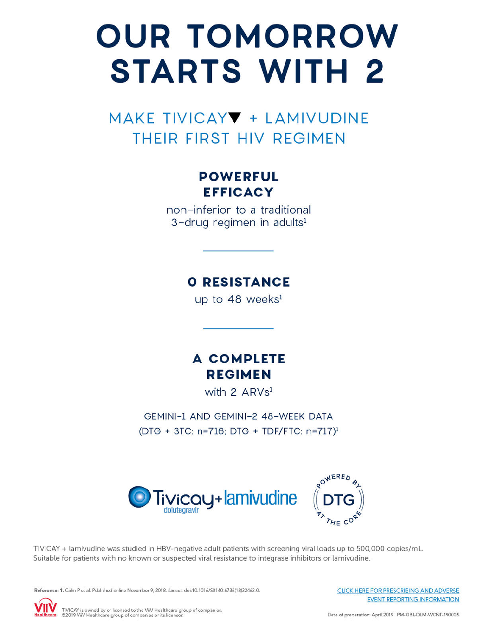# **OUR TOMORROW STARTS WITH 2**

MAKE TIVICAY + LAMIVUDINE THEIR FIRST HIV REGIMEN

# **POWERFUL EFFICACY**

non-inferior to a traditional 3-drug regimen in adults<sup>1</sup>

# **O RESISTANCE**

up to 48 weeks<sup>1</sup>

**A COMPLETE REGIMEN** 

with  $2$  ARVs<sup>1</sup>

GEMINI-1 AND GEMINI-2 48-WEEK DATA (DTG + 3TC: n=716; DTG + TDF/FTC: n=717)<sup>1</sup>



TIVICAY + lamivudine was studied in HBV-negative adult patients with screening viral loads up to 500,000 copies/mL. Suitable for patients with no known or suspected viral resistance to integrase inhibitors or lamivudine.

Reference: 1. Cahn P et al. Published online November 9, 2018. Lancet. doi:10.1016/50140-6736(18)32462-0.

**CLICK HERE FOR PRESCRIBING AND ADVERSE EVENT REPORTING INFORMATION** 

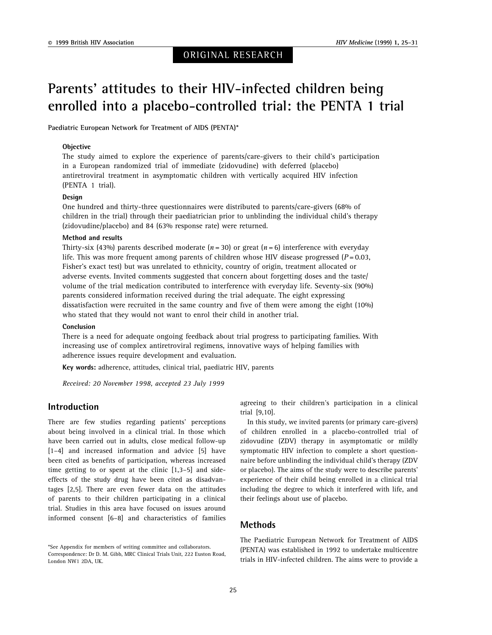# Parents' attitudes to their HIV-infected children being enrolled into a placebo-controlled trial: the PENTA 1 trial

Paediatric European Network for Treatment of AIDS (PENTA)\*

#### **Objective**

The study aimed to explore the experience of parents/care-givers to their child's participation in a European randomized trial of immediate (zidovudine) with deferred (placebo) antiretroviral treatment in asymptomatic children with vertically acquired HIV infection (PENTA 1 trial).

## Design

One hundred and thirty-three questionnaires were distributed to parents/care-givers (68% of children in the trial) through their paediatrician prior to unblinding the individual child's therapy (zidovudine/placebo) and 84 (63% response rate) were returned.

#### **Method and results**

Thirty-six (43%) parents described moderate ( $n = 30$ ) or great ( $n = 6$ ) interference with everyday life. This was more frequent among parents of children whose HIV disease progressed  $(P = 0.03,$ Fisher's exact test) but was unrelated to ethnicity, country of origin, treatment allocated or adverse events. Invited comments suggested that concern about forgetting doses and the taste/ volume of the trial medication contributed to interference with everyday life. Seventy-six (90%) parents considered information received during the trial adequate. The eight expressing dissatisfaction were recruited in the same country and five of them were among the eight  $(10\%)$ who stated that they would not want to enrol their child in another trial.

#### Conclusion

There is a need for adequate ongoing feedback about trial progress to participating families. With increasing use of complex antiretroviral regimens, innovative ways of helping families with adherence issues require development and evaluation.

Key words: adherence, attitudes, clinical trial, paediatric HIV, parents

Received: 20 November 1998, accepted 23 July 1999

# **Introduction**

There are few studies regarding patients' perceptions about being involved in a clinical trial. In those which have been carried out in adults, close medical follow-up [1-4] and increased information and advice [5] have been cited as benefits of participation, whereas increased time getting to or spent at the clinic  $[1,3-5]$  and sideeffects of the study drug have been cited as disadvantages [2,5]. There are even fewer data on the attitudes of parents to their children participating in a clinical trial. Studies in this area have focused on issues around informed consent [6-8] and characteristics of families

agreeing to their children's participation in a clinical trial  $[9, 10]$ .

In this study, we invited parents (or primary care-givers) of children enrolled in a placebo-controlled trial of zidovudine (ZDV) therapy in asymptomatic or mildly symptomatic HIV infection to complete a short questionnaire before unblinding the individual child's therapy (ZDV or placebo). The aims of the study were to describe parents' experience of their child being enrolled in a clinical trial including the degree to which it interfered with life, and their feelings about use of placebo.

# **Methods**

The Paediatric European Network for Treatment of AIDS (PENTA) was established in 1992 to undertake multicentre trials in HIV-infected children. The aims were to provide a

<sup>\*</sup>See Appendix for members of writing committee and collaborators. Correspondence: Dr D. M. Gibb, MRC Clinical Trials Unit, 222 Euston Road, London NW1 2DA, UK.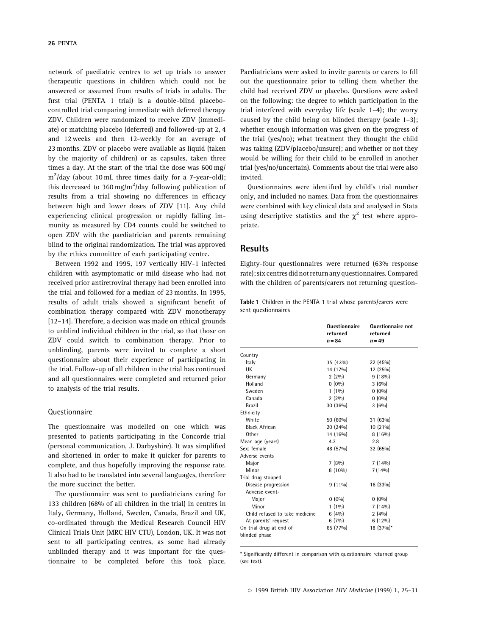network of paediatric centres to set up trials to answer therapeutic questions in children which could not be answered or assumed from results of trials in adults. The first trial (PENTA 1 trial) is a double-blind placebocontrolled trial comparing immediate with deferred therapy ZDV. Children were randomized to receive ZDV (immediate) or matching placebo (deferred) and followed-up at 2, 4 and 12 weeks and then 12-weekly for an average of 23 months. ZDV or placebo were available as liquid (taken by the majority of children) or as capsules, taken three times a day. At the start of the trial the dose was 600 mg/  $m^2$ /day (about 10 mL three times daily for a 7-year-old); this decreased to 360 mg/m<sup>2</sup>/day following publication of results from a trial showing no differences in efficacy between high and lower doses of ZDV [11]. Any child experiencing clinical progression or rapidly falling immunity as measured by CD4 counts could be switched to open ZDV with the paediatrician and parents remaining blind to the original randomization. The trial was approved by the ethics committee of each participating centre.

Between 1992 and 1995, 197 vertically HIV-1 infected children with asymptomatic or mild disease who had not received prior antiretroviral therapy had been enrolled into the trial and followed for a median of 23 months. In 1995, results of adult trials showed a significant benefit of combination therapy compared with ZDV monotherapy [12-14]. Therefore, a decision was made on ethical grounds to unblind individual children in the trial, so that those on ZDV could switch to combination therapy. Prior to unblinding, parents were invited to complete a short questionnaire about their experience of participating in the trial. Follow-up of all children in the trial has continued and all questionnaires were completed and returned prior to analysis of the trial results.

## Questionnaire

The questionnaire was modelled on one which was presented to patients participating in the Concorde trial (personal communication, J. Darbyshire). It was simplified and shortened in order to make it quicker for parents to complete, and thus hopefully improving the response rate. It also had to be translated into several languages, therefore the more succinct the better.

The questionnaire was sent to paediatricians caring for 133 children (68% of all children in the trial) in centres in Italy, Germany, Holland, Sweden, Canada, Brazil and UK, co-ordinated through the Medical Research Council HIV Clinical Trials Unit (MRC HIV CTU), London, UK. It was not sent to all participating centres, as some had already unblinded therapy and it was important for the questionnaire to be completed before this took place.

Paediatricians were asked to invite parents or carers to fill out the questionnaire prior to telling them whether the child had received ZDV or placebo. Questions were asked on the following: the degree to which participation in the trial interfered with everyday life (scale 1-4); the worry caused by the child being on blinded therapy (scale 1-3); whether enough information was given on the progress of the trial (yes/no); what treatment they thought the child was taking (ZDV/placebo/unsure); and whether or not they would be willing for their child to be enrolled in another trial (yes/no/uncertain). Comments about the trial were also invited.

Questionnaires were identified by child's trial number only, and included no names. Data from the questionnaires were combined with key clinical data and analysed in Stata using descriptive statistics and the  $\gamma^2$  test where appropriate.

# **Results**

Eighty-four questionnaires were returned (63% response rate); six centres did not return any questionnaires. Compared with the children of parents/carers not returning question-

Table 1 Children in the PENTA 1 trial whose parents/carers were sent questionnaires

|                                          | <b>Questionnaire</b><br>refurned<br>$n = 84$ | Questionnaire not<br>refurned<br>$n = 49$ |
|------------------------------------------|----------------------------------------------|-------------------------------------------|
| Country                                  |                                              |                                           |
| Italy                                    | 35 (42%)                                     | 22 (45%)                                  |
| <b>IIK</b>                               | 14 (17%)                                     | 12 (25%)                                  |
| Germany                                  | $2(2\%)$                                     | $9(18\%)$                                 |
| Holland                                  | $0(0\%)$                                     | $3(6\%)$                                  |
| Sweden                                   | $1(1\%)$                                     | $0(0\%)$                                  |
| Canada                                   | $2(2\%)$                                     | $0(0\%)$                                  |
| <b>Brazil</b>                            | 30 (36%)                                     | $3(6\%)$                                  |
| Ethnicity                                |                                              |                                           |
| White                                    | 50 (60%)                                     | 31 (63%)                                  |
| <b>Black African</b>                     | 20 (24%)                                     | 10 (21%)                                  |
| Other                                    | 14 (16%)                                     | $8(16\%)$                                 |
| Mean age (years)                         | 4.3                                          | 2.8                                       |
| Sex: female                              | 48 (57%)                                     | 32 (65%)                                  |
| Adverse events                           |                                              |                                           |
| Major                                    | 7(8%)                                        | 7(14%)                                    |
| Minor                                    | $8(10\%)$                                    | 7(14%)                                    |
| Trial drug stopped                       |                                              |                                           |
| Disease progression                      | $9(11\%)$                                    | 16 (33%)                                  |
| Adverse event-                           |                                              |                                           |
| Major                                    | $0(0\%)$                                     | $0(0\%)$                                  |
| Minor                                    | $1(1\%)$                                     | 7(14%)                                    |
| Child refused to take medicine           | 6(4%)                                        | 2(4%)                                     |
| At parents' request                      | 6(7%)                                        | $6(12\%)$                                 |
| On trial drug at end of<br>blinded phase | 65 (77%)                                     | 18 (37%)*                                 |

\* Significantly different in comparison with questionnaire returned group (see text).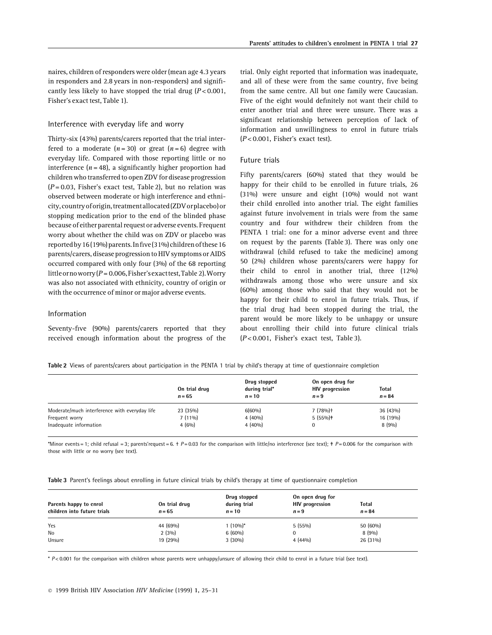naires, children of responders were older (mean age 4.3 years in responders and 2.8 years in non-responders) and significantly less likely to have stopped the trial drug  $(P<0.001$ , Fisher's exact test, Table 1).

#### Interference with everyday life and worry

Thirty-six (43%) parents/carers reported that the trial interfered to a moderate  $(n=30)$  or great  $(n=6)$  degree with everyday life. Compared with those reporting little or no interference ( $n = 48$ ), a significantly higher proportion had children who transferred to open ZDV for disease progression  $(P = 0.03$ , Fisher's exact test, Table 2), but no relation was observed between moderate or high interference and ethnicity, country of origin, treatment allocated (ZDV or placebo) or stopping medication prior to the end of the blinded phase because of either parental request or adverse events. Frequent worry about whether the child was on ZDV or placebo was reported by 16 (19%) parents. In five (31%) children of these 16 parents/carers, disease progression to HIV symptoms or AIDS occurred compared with only four (3%) of the 68 reporting little or no worry ( $P = 0.006$ , Fisher's exact test, Table 2). Worry was also not associated with ethnicity, country of origin or with the occurrence of minor or major adverse events.

#### Information

Seventy-five (90%) parents/carers reported that they received enough information about the progress of the

trial. Only eight reported that information was inadequate, and all of these were from the same country, five being from the same centre. All but one family were Caucasian. Five of the eight would definitely not want their child to enter another trial and three were unsure. There was a significant relationship between perception of lack of information and unwillingness to enrol in future trials  $(P<0.001$ , Fisher's exact test).

#### Future trials

Fifty parents/carers (60%) stated that they would be happy for their child to be enrolled in future trials, 26 (31%) were unsure and eight (10%) would not want their child enrolled into another trial. The eight families against future involvement in trials were from the same country and four withdrew their children from the PENTA 1 trial: one for a minor adverse event and three on request by the parents (Table 3). There was only one withdrawal (child refused to take the medicine) among 50 (2%) children whose parents/carers were happy for their child to enrol in another trial, three (12%) withdrawals among those who were unsure and six (60%) among those who said that they would not be happy for their child to enrol in future trials. Thus, if the trial drug had been stopped during the trial, the parent would be more likely to be unhappy or unsure about enrolling their child into future clinical trials  $(P<0.001$ , Fisher's exact test, Table 3).

|  | Table 2 Views of parents/carers about participation in the PENTA 1 trial by child's therapy at time of questionnaire completion |  |  |  |  |  |  |  |  |
|--|---------------------------------------------------------------------------------------------------------------------------------|--|--|--|--|--|--|--|--|
|--|---------------------------------------------------------------------------------------------------------------------------------|--|--|--|--|--|--|--|--|

|                                               | On trial drug<br>$n = 65$ | Drug stopped<br>during trial*<br>$n = 10$ | On open drug for<br><b>HIV</b> progression<br>$n = 9$ | Total<br>$n = 84$ |
|-----------------------------------------------|---------------------------|-------------------------------------------|-------------------------------------------------------|-------------------|
| Moderate/much interference with everyday life | 23 (35%)                  | 6(60%)                                    | 7(78%)                                                | $36(43\%)$        |
| Frequent worry                                | $7(11\%)$                 | $4(40\%)$                                 | $5(55\%)$                                             | 16 (19%)          |
| Inadequate information                        | $4(6\%)$                  | $4(40\%)$                                 |                                                       | 8(9%)             |

\*Minor events = 1; child refusal = 3; parents'request = 6. +  $P$  = 0.03 for the comparison with little/no interference (see text); +  $P$  = 0.006 for the comparison with those with little or no worry (see text).

|  |  |  |  |  | <b>Table 3</b> Parent's feelings about enrolling in future clinical trials by child's therapy at time of questionnaire completion |
|--|--|--|--|--|-----------------------------------------------------------------------------------------------------------------------------------|
|--|--|--|--|--|-----------------------------------------------------------------------------------------------------------------------------------|

| Parents happy to enrol<br>children into future trials | On trial drug<br>$n = 65$ | Drug stopped<br>during trial<br>$n = 10$ | On open drug for<br><b>HIV</b> progression<br>$n = 9$ | <b>Total</b><br>$n = 84$ |
|-------------------------------------------------------|---------------------------|------------------------------------------|-------------------------------------------------------|--------------------------|
| Yes                                                   | 44 (69%)                  | $1(10\%)^*$                              | $5(55\%)$                                             | $50(60\%)$               |
| <b>No</b>                                             | 2(3%)                     | 6(60%)                                   |                                                       | 8(9%)                    |
| Unsure                                                | 19 (29%)                  | $3(30\%)$                                | $4(44\%)$                                             | $26(31\%)$               |

\* P<0.001 for the comparison with children whose parents were unhappy/unsure of allowing their child to enrol in a future trial (see text).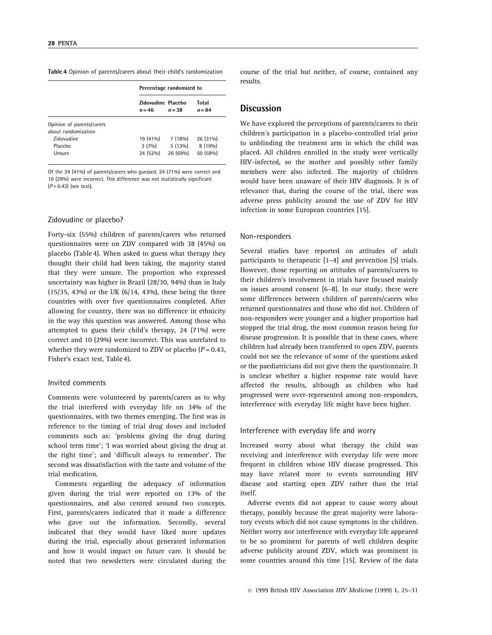|                                                  | Percentage randomized to              |           |                   |  |
|--------------------------------------------------|---------------------------------------|-----------|-------------------|--|
|                                                  | <b>Zidovudine Placebo</b><br>$n = 46$ | $n = 38$  | Total<br>$n = 84$ |  |
| Opinion of parents/carers<br>about randomization |                                       |           |                   |  |
| <b>Zidovudine</b>                                | 19 (41%)                              | $7(18\%)$ | 26 (31%)          |  |
| Placebo                                          | $3(7\%)$                              | $5(13\%)$ | $8(10\%)$         |  |
| Unsure                                           | 24 (52%)                              | 26 (69%)  | 50 (59%)          |  |

Of the 34 (41%) of parents/carers who quessed, 24 (71%) were correct and 10 (29%) were incorrect. This difference was not statistically significant  $(P = 0.43)$  (see text).

#### Zidovudine or placebo?

Forty-six (55%) children of parents/carers who returned questionnaires were on ZDV compared with 38 (45%) on placebo (Table 4). When asked to guess what therapy they thought their child had been taking, the majority stated that they were unsure. The proportion who expressed uncertainty was higher in Brazil (28/30, 94%) than in Italy  $(15/35, 43\%)$  or the UK  $(6/14, 43\%)$ , these being the three countries with over five questionnaires completed. After allowing for country, there was no difference in ethnicity in the way this question was answered. Among those who attempted to guess their child's therapy, 24 (71%) were correct and 10 (29%) were incorrect. This was unrelated to whether they were randomized to ZDV or placebo  $(P = 0.43,$ Fisher's exact test, Table 4).

#### Invited comments

Comments were volunteered by parents/carers as to why the trial interfered with everyday life on 34% of the questionnaires, with two themes emerging. The first was in reference to the timing of trial drug doses and included comments such as: 'problems giving the drug during school term time'; 'I was worried about giving the drug at the right time'; and 'difficult always to remember'. The second was dissatisfaction with the taste and volume of the trial medication.

Comments regarding the adequacy of information given during the trial were reported on 13% of the questionnaires, and also centred around two concepts. First, parents/carers indicated that it made a difference who gave out the information. Secondly, several indicated that they would have liked more updates during the trial, especially about generated information and how it would impact on future care. It should be noted that two newsletters were circulated during the course of the trial but neither, of course, contained any results.

# **Discussion**

We have explored the perceptions of parents/carers to their children's participation in a placebo-controlled trial prior to unblinding the treatment arm in which the child was placed. All children enrolled in the study were vertically HIV-infected, so the mother and possibly other family members were also infected. The majority of children would have been unaware of their HIV diagnosis. It is of relevance that, during the course of the trial, there was adverse press publicity around the use of ZDV for HIV infection in some European countries [15].

#### Non-responders

Several studies have reported on attitudes of adult participants to therapeutic  $[1-4]$  and prevention  $[5]$  trials. However, those reporting on attitudes of parents/carers to their children's involvement in trials have focused mainly on issues around consent [6-8]. In our study, there were some differences between children of parents/carers who returned questionnaires and those who did not. Children of non-responders were younger and a higher proportion had stopped the trial drug, the most common reason being for disease progression. It is possible that in these cases, where children had already been transferred to open ZDV, parents could not see the relevance of some of the questions asked or the paediatricians did not give them the questionnaire. It is unclear whether a higher response rate would have affected the results, although as children who had progressed were over-represented among non-responders, interference with everyday life might have been higher.

#### Interference with everyday life and worry

Increased worry about what therapy the child was receiving and interference with everyday life were more frequent in children whose HIV disease progressed. This may have related more to events surrounding HIV disease and starting open ZDV rather than the trial itself.

Adverse events did not appear to cause worry about therapy, possibly because the great majority were laboratory events which did not cause symptoms in the children. Neither worry nor interference with everyday life appeared to be so prominent for parents of well children despite adverse publicity around ZDV, which was prominent in some countries around this time [15]. Review of the data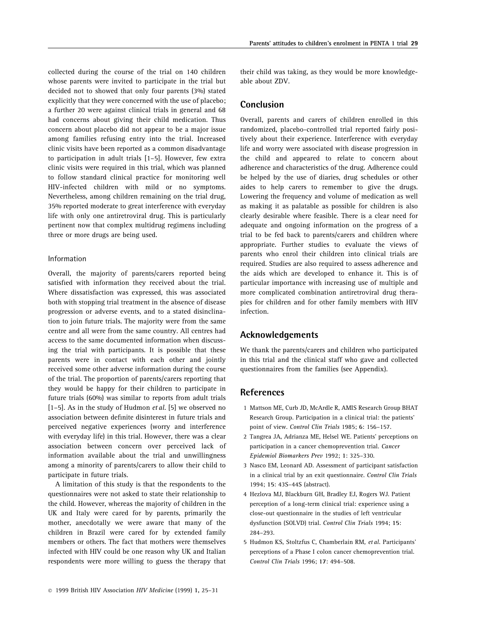collected during the course of the trial on 140 children whose parents were invited to participate in the trial but decided not to showed that only four parents (3%) stated explicitly that they were concerned with the use of placebo; a further 20 were against clinical trials in general and 68 had concerns about giving their child medication. Thus concern about placebo did not appear to be a major issue among families refusing entry into the trial. Increased clinic visits have been reported as a common disadvantage to participation in adult trials [1-5]. However, few extra clinic visits were required in this trial, which was planned to follow standard clinical practice for monitoring well HIV-infected children with mild or no symptoms. Nevertheless, among children remaining on the trial drug, 35% reported moderate to great interference with everyday life with only one antiretroviral drug. This is particularly pertinent now that complex multidrug regimens including three or more drugs are being used.

## Information

Overall, the majority of parents/carers reported being satisfied with information they received about the trial. Where dissatisfaction was expressed, this was associated both with stopping trial treatment in the absence of disease progression or adverse events, and to a stated disinclination to join future trials. The majority were from the same centre and all were from the same country. All centres had access to the same documented information when discussing the trial with participants. It is possible that these parents were in contact with each other and jointly received some other adverse information during the course of the trial. The proportion of parents/carers reporting that they would be happy for their children to participate in future trials (60%) was similar to reports from adult trials [1-5]. As in the study of Hudmon et al. [5] we observed no association between definite disinterest in future trials and perceived negative experiences (worry and interference with everyday life) in this trial. However, there was a clear association between concern over perceived lack of information available about the trial and unwillingness among a minority of parents/carers to allow their child to participate in future trials.

A limitation of this study is that the respondents to the questionnaires were not asked to state their relationship to the child. However, whereas the majority of children in the UK and Italy were cared for by parents, primarily the mother, anecdotally we were aware that many of the children in Brazil were cared for by extended family members or others. The fact that mothers were themselves infected with HIV could be one reason why UK and Italian respondents were more willing to guess the therapy that their child was taking, as they would be more knowledgeable about ZDV.

# Conclusion

Overall, parents and carers of children enrolled in this randomized, placebo-controlled trial reported fairly positively about their experience. Interference with everyday life and worry were associated with disease progression in the child and appeared to relate to concern about adherence and characteristics of the drug. Adherence could be helped by the use of diaries, drug schedules or other aides to help carers to remember to give the drugs. Lowering the frequency and volume of medication as well as making it as palatable as possible for children is also clearly desirable where feasible. There is a clear need for adequate and ongoing information on the progress of a trial to be fed back to parents/carers and children where appropriate. Further studies to evaluate the views of parents who enrol their children into clinical trials are required. Studies are also required to assess adherence and the aids which are developed to enhance it. This is of particular importance with increasing use of multiple and more complicated combination antiretroviral drug therapies for children and for other family members with HIV infection.

# Acknowledgements

We thank the parents/carers and children who participated in this trial and the clinical staff who gave and collected questionnaires from the families (see Appendix).

# **References**

- 1 Mattson ME, Curb JD, McArdle R, AMIS Research Group BHAT Research Group. Participation in a clinical trial: the patients' point of view. Control Clin Trials 1985; 6: 156-157.
- 2 Tangrea JA, Adrianza ME, Helsel WE. Patients' perceptions on participation in a cancer chemoprevention trial. Cancer Epidemiol Biomarkers Prev 1992; 1: 325-330.
- 3 Nasco EM, Leonard AD. Assessment of participant satisfaction in a clinical trial by an exit questionnaire. Control Clin Trials 1994; 15: 43S-44S (abstract).
- 4 Hezlova MJ, Blackburn GH, Bradley EJ, Rogers WJ. Patient perception of a long-term clinical trial: experience using a close-out questionnaire in the studies of left ventricular dysfunction (SOLVD) trial. Control Clin Trials 1994; 15: 284-293.
- 5 Hudmon KS, Stoltzfus C, Chamberlain RM, et al. Participants' perceptions of a Phase I colon cancer chemoprevention trial. Control Clin Trials 1996: 17: 494-508.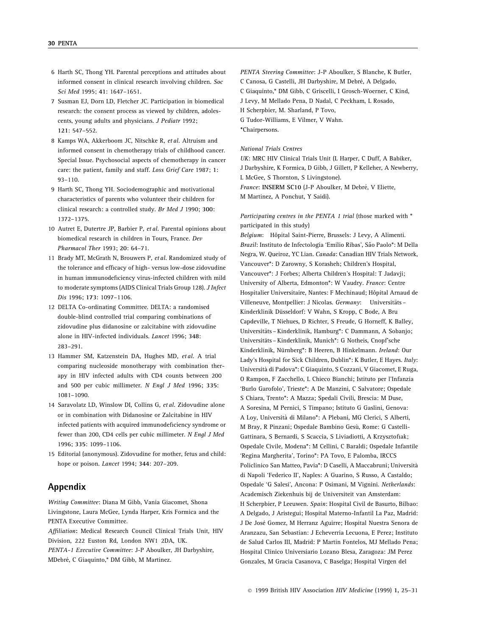- 6 Harth SC, Thong YH. Parental perceptions and attitudes about informed consent in clinical research involving children. Soc Sci Med 1995; 41: 1647-1651.
- 7 Susman EJ, Dorn LD, Fletcher JC. Participation in biomedical research: the consent process as viewed by children, adolescents, young adults and physicians. J Pediatr 1992; 121: 547-552.
- 8 Kamps WA, Akkerboom JC, Nitschke R, et al. Altruism and informed consent in chemotherapy trials of childhood cancer. Special Issue. Psychosocial aspects of chemotherapy in cancer care: the patient, family and staff. Loss Grief Care 1987; 1:  $93 - 110.$
- 9 Harth SC, Thong YH. Sociodemographic and motivational characteristics of parents who volunteer their children for clinical research: a controlled study. Br Med J 1990; 300:  $1372 - 1375$
- 10 Autret E, Dutertre JP, Barbier P, et al. Parental opinions about biomedical research in children in Tours, France. Dev Pharmacol Ther 1993: 20: 64-71.
- 11 Brady MT, McGrath N, Brouwers P, et al. Randomized study of the tolerance and efficacy of high-versus low-dose zidovudine in human immunodeficiency virus-infected children with mild to moderate symptoms (AIDS Clinical Trials Group 128). J Infect Dis 1996: 173: 1097-1106.
- 12 DELTA Co-ordinating Committee. DELTA: a randomised double-blind controlled trial comparing combinations of zidovudine plus didanosine or zalcitabine with zidovudine alone in HIV-infected individuals. Lancet 1996; 348:  $283 - 291$
- 13 Hammer SM, Katzenstein DA, Hughes MD, et al. A trial comparing nucleoside monotherapy with combination therapy in HIV infected adults with CD4 counts between 200 and 500 per cubic millimeter. N Engl J Med 1996; 335:  $1081 - 1090.$
- 14 Saravolatz LD, Winslow DI, Collins G, et al. Zidovudine alone or in combination with Didanosine or Zalcitabine in HIV infected patients with acquired immunodeficiency syndrome or fewer than 200, CD4 cells per cubic millimeter. N Engl J Med 1996; 335: 1099-1106.
- 15 Editorial (anonymous). Zidovudine for mother, fetus and child: hope or poison. Lancet 1994; 344: 207-209.

# Appendix

Writing Committee: Diana M Gibb, Vania Giacomet, Shona Livingstone, Laura McGee, Lynda Harper, Kris Formica and the PENTA Executive Committee.

Affiliation: Medical Research Council Clinical Trials Unit, HIV Division, 222 Euston Rd, London NW1 2DA, UK. PENTA-1 Executive Committee: J-P Aboulker, JH Darbyshire,

MDebré, C Giaquinto,\* DM Gibb, M Martinez.

PENTA Steering Committee: J-P Aboulker, S Blanche, K Butler, C Canosa, G Castelli, JH Darbyshire, M Debré, A Delgado, C Giaquinto,\* DM Gibb, C Griscelli, I Grosch-Woerner, C Kind, J Levy, M Mellado Pena, D Nadal, C Peckham, L Rosado, H Scherpbier, M. Sharland, P Tovo, G Tudor-Williams, E Vilmer, V Wahn. \*Chairpersons.

#### **National Trials Centres**

UK: MRC HIV Clinical Trials Unit (L Harper, C Duff, A Babiker, J Darbyshire, K Formica, D Gibb, J Gillett, P Kelleher, A Newberry, L McGee, S Thornton, S Livingstone). France: INSERM SC10 (J-P Aboulker, M Debré, V Eliette, M Martinez, A Ponchut, Y Saidi).

## Participating centres in the PENTA 1 trial (those marked with \* participated in this study)

Belgium: Hôpital Saint-Pierre, Brussels: J Levy, A Alimenti. Brazil: Instituto de Infectologia 'Emilio Ribas', São Paolo\*: M Della Negra, W. Queiroz, YC Lian. Canada: Canadian HIV Trials Network, Vancouver\*: D Zarowny, S Korasheh; Children's Hospital, Vancouver\*: J Forbes; Alberta Children's Hospital: T Jadavji; University of Alberta, Edmonton\*: W Vaudry. France: Centre Hospitalier Universitaire, Nantes: F Mechinaud; Hôpital Arnaud de Villeneuve, Montpellier: J Nicolas. Germany: Universitäts-Kinderklinik Düsseldorf: V Wahn, S Kropp, C Bode, A Bru Capdeville, T Niehues, D Richter, S Freude, G Horneff, K Balley, Universitäts - Kinderklinik, Hamburg\*: C Dammann, A Sobanjo; Universitäts - Kinderklinik, Munich\*: G Notheis, Cnopf'sche Kinderklinik, Nürnberg\*: B Heeren, B Hinkelmann. Ireland: Our Lady's Hospital for Sick Children, Dublin\*: K Butler, E Hayes. Italy: Università di Padova\*: C Giaquinto, S Cozzani, V Giacomet, E Ruga, O Rampon, F Zacchello, L Chieco Bianchi; Istituto per l'Infanzia 'Burlo Garofolo', Trieste\*: A De Manzini, C Salvatore; Ospedale S Chiara, Trento\*: A Mazza; Spedali Civili, Brescia: M Duse, A Soresina, M Pernici, S Timpano; Istituto G Gaslini, Genova: A Loy, Università di Milano\*: A Plebani, MG Clerici, S Alberti, M Bray, R Pinzani; Ospedale Bambino Gesù, Rome: G Castelli-Gattinara, S Bernardi, S Scaccia, S Liviadiotti, A Krzysztofiak; Ospedale Civile, Modena\*: M Cellini, C Baraldi; Ospedale Infantile 'Regina Margherita', Torino\*: PA Tovo, E Palomba, IRCCS Policlinico San Matteo, Pavia\*: D Caselli, A Maccabruni; Università di Napoli 'Federico II', Naples: A Guarino, S Russo, A Castaldo; Ospedale 'G Salesi', Ancona: P Osimani, M Vignini. Netherlands: Academisch Ziekenhuis bij de Universiteit van Amsterdam: H Scherpbier, P Leeuwen. Spain: Hospital Civil de Basurto, Bilbao: A Delgado, J Aristegui; Hospital Materno-Infantil La Paz, Madrid: J De José Gomez, M Herranz Aguirre; Hospital Nuestra Senora de Aranzazu, San Sebastian: J Echeverria Lecuona, E Perez; Instituto de Salud Carlos III, Madrid: P Martin Fontelos, MJ Mellado Pena: Hospital Clinico Universiario Lozano Blesa, Zaragoza: JM Perez Gonzales, M Gracia Casanova, C Baselga; Hospital Virgen del